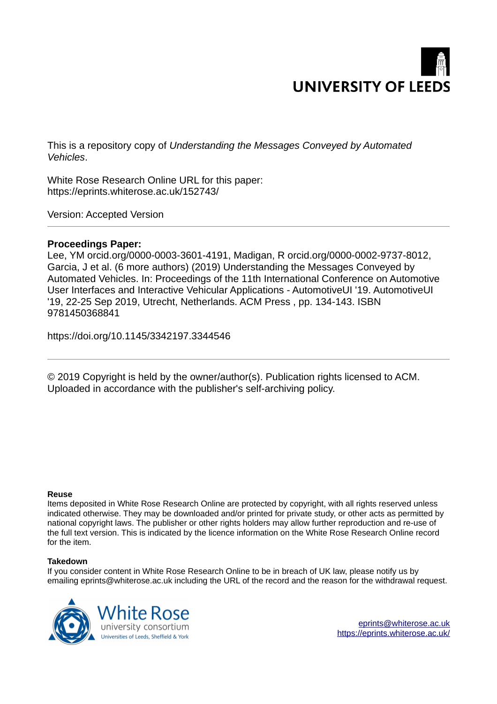

This is a repository copy of *Understanding the Messages Conveyed by Automated Vehicles*.

White Rose Research Online URL for this paper: https://eprints.whiterose.ac.uk/152743/

Version: Accepted Version

# **Proceedings Paper:**

Lee, YM orcid.org/0000-0003-3601-4191, Madigan, R orcid.org/0000-0002-9737-8012, Garcia, J et al. (6 more authors) (2019) Understanding the Messages Conveyed by Automated Vehicles. In: Proceedings of the 11th International Conference on Automotive User Interfaces and Interactive Vehicular Applications - AutomotiveUI '19. AutomotiveUI '19, 22-25 Sep 2019, Utrecht, Netherlands. ACM Press , pp. 134-143. ISBN 9781450368841

https://doi.org/10.1145/3342197.3344546

© 2019 Copyright is held by the owner/author(s). Publication rights licensed to ACM. Uploaded in accordance with the publisher's self-archiving policy.

# **Reuse**

Items deposited in White Rose Research Online are protected by copyright, with all rights reserved unless indicated otherwise. They may be downloaded and/or printed for private study, or other acts as permitted by national copyright laws. The publisher or other rights holders may allow further reproduction and re-use of the full text version. This is indicated by the licence information on the White Rose Research Online record for the item.

# **Takedown**

If you consider content in White Rose Research Online to be in breach of UK law, please notify us by emailing eprints@whiterose.ac.uk including the URL of the record and the reason for the withdrawal request.



eprints@whiterose.ac.uk https://eprints.whiterose.ac.uk/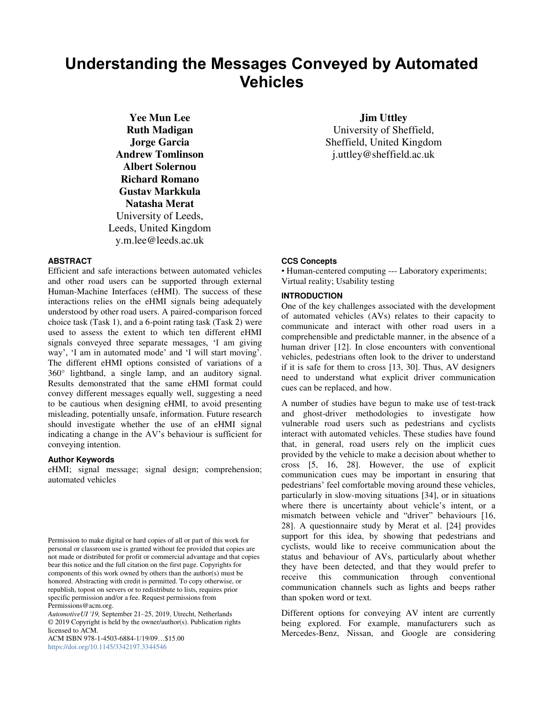# **Understanding the Messages Conveyed by Automated Vehicles**

**Yee Mun Lee Ruth Madigan Jorge Garcia Andrew Tomlinson Albert Solernou Richard Romano Gustav Markkula Natasha Merat**  University of Leeds, Leeds, United Kingdom y.m.lee@leeds.ac.uk

#### **ABSTRACT**

Efficient and safe interactions between automated vehicles and other road users can be supported through external Human-Machine Interfaces (eHMI). The success of these interactions relies on the eHMI signals being adequately understood by other road users. A paired-comparison forced choice task (Task 1), and a 6-point rating task (Task 2) were used to assess the extent to which ten different eHMI signals conveyed three separate messages, 'I am giving way', 'I am in automated mode' and 'I will start moving'. The different eHMI options consisted of variations of a 360° lightband, a single lamp, and an auditory signal. Results demonstrated that the same eHMI format could convey different messages equally well, suggesting a need to be cautious when designing eHMI, to avoid presenting misleading, potentially unsafe, information. Future research should investigate whether the use of an eHMI signal indicating a change in the AV's behaviour is sufficient for conveying intention.

#### **Author Keywords**

eHMI; signal message; signal design; comprehension; automated vehicles

Permission to make digital or hard copies of all or part of this work for personal or classroom use is granted without fee provided that copies are not made or distributed for profit or commercial advantage and that copies bear this notice and the full citation on the first page. Copyrights for components of this work owned by others than the author(s) must be honored. Abstracting with credit is permitted. To copy otherwise, or republish, topost on servers or to redistribute to lists, requires prior specific permission and/or a fee. Request permissions from Permissions@acm.org.

*AutomotiveUI '19,* September 21–25, 2019, Utrecht, Netherlands © 2019 Copyright is held by the owner/author(s). Publication rights licensed to ACM.

ACM ISBN 978-1-4503-6884-1/19/09…\$15.00 <https://doi.org/10.1145/3342197.3344546>

**Jim Uttley** 

University of Sheffield, Sheffield, United Kingdom j.uttley@sheffield.ac.uk

# **CCS Concepts**

• Human-centered computing --- Laboratory experiments; Virtual reality; Usability testing

#### **INTRODUCTION**

One of the key challenges associated with the development of automated vehicles (AVs) relates to their capacity to communicate and interact with other road users in a comprehensible and predictable manner, in the absence of a human driver [12]. In close encounters with conventional vehicles, pedestrians often look to the driver to understand if it is safe for them to cross [13, 30]. Thus, AV designers need to understand what explicit driver communication cues can be replaced, and how.

A number of studies have begun to make use of test-track and ghost-driver methodologies to investigate how vulnerable road users such as pedestrians and cyclists interact with automated vehicles. These studies have found that, in general, road users rely on the implicit cues provided by the vehicle to make a decision about whether to cross [5, 16, 28]. However, the use of explicit communication cues may be important in ensuring that pedestrians' feel comfortable moving around these vehicles, particularly in slow-moving situations [34], or in situations where there is uncertainty about vehicle's intent, or a mismatch between vehicle and "driver" behaviours [16, 28]. A questionnaire study by Merat et al. [24] provides support for this idea, by showing that pedestrians and cyclists, would like to receive communication about the status and behaviour of AVs, particularly about whether they have been detected, and that they would prefer to receive this communication through conventional communication channels such as lights and beeps rather than spoken word or text.

Different options for conveying AV intent are currently being explored. For example, manufacturers such as Mercedes-Benz, Nissan, and Google are considering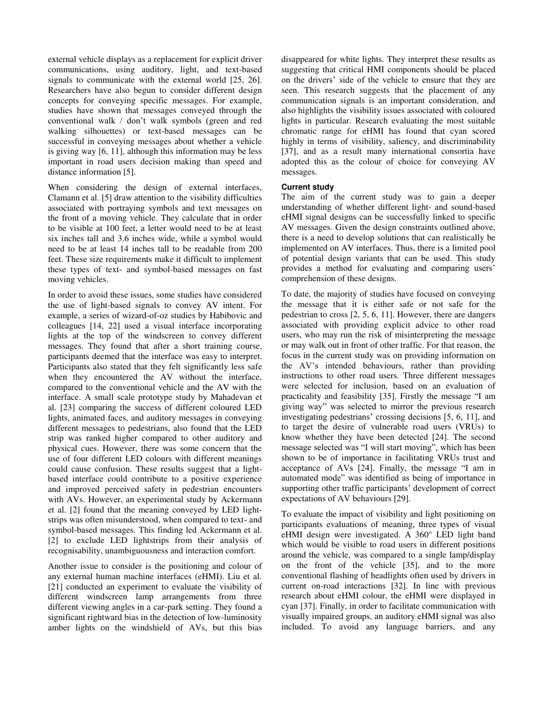external vehicle displays as a replacement for explicit driver communications, using auditory, light, and text-based signals to communicate with the external world [25, 26]. Researchers have also begun to consider different design concepts for conveying specific messages. For example, studies have shown that messages conveyed through the conventional walk / don't walk symbols (green and red walking silhouettes) or text-based messages can be successful in conveying messages about whether a vehicle is giving way [6, 11], although this information may be less important in road users decision making than speed and distance information [5].

When considering the design of external interfaces, Clamann et al. [5] draw attention to the visibility difficulties associated with portraying symbols and text messages on the front of a moving vehicle. They calculate that in order to be visible at 100 feet, a letter would need to be at least six inches tall and 3.6 inches wide, while a symbol would need to be at least 14 inches tall to be readable from 200 feet. These size requirements make it difficult to implement these types of text- and symbol-based messages on fast moving vehicles.

In order to avoid these issues, some studies have considered the use of light-based signals to convey AV intent. For example, a series of wizard-of-oz studies by Habibovic and colleagues [14, 22] used a visual interface incorporating lights at the top of the windscreen to convey different messages. They found that after a short training course, participants deemed that the interface was easy to interpret. Participants also stated that they felt significantly less safe when they encountered the AV without the interface, compared to the conventional vehicle and the AV with the interface. A small scale prototype study by Mahadevan et al. [23] comparing the success of different coloured LED lights, animated faces, and auditory messages in conveying different messages to pedestrians, also found that the LED strip was ranked higher compared to other auditory and physical cues. However, there was some concern that the use of four different LED colours with different meanings could cause confusion. These results suggest that a lightbased interface could contribute to a positive experience and improved perceived safety in pedestrian encounters with AVs. However, an experimental study by Ackermann et al. [2] found that the meaning conveyed by LED lightstrips was often misunderstood, when compared to text- and symbol-based messages. This finding led Ackermann et al. [2] to exclude LED lightstrips from their analysis of recognisability, unambiguousness and interaction comfort.

Another issue to consider is the positioning and colour of any external human machine interfaces (eHMI). Liu et al. [21] conducted an experiment to evaluate the visibility of different windscreen lamp arrangements from three different viewing angles in a car-park setting. They found a significant rightward bias in the detection of low-luminosity amber lights on the windshield of AVs, but this bias

disappeared for white lights. They interpret these results as suggesting that critical HMI components should be placed on the drivers' side of the vehicle to ensure that they are seen. This research suggests that the placement of any communication signals is an important consideration, and also highlights the visibility issues associated with coloured lights in particular. Research evaluating the most suitable chromatic range for eHMI has found that cyan scored highly in terms of visibility, saliency, and discriminability [37], and as a result many international consortia have adopted this as the colour of choice for conveying AV messages.

# **Current study**

The aim of the current study was to gain a deeper understanding of whether different light- and sound-based eHMI signal designs can be successfully linked to specific AV messages. Given the design constraints outlined above, there is a need to develop solutions that can realistically be implemented on AV interfaces. Thus, there is a limited pool of potential design variants that can be used. This study provides a method for evaluating and comparing users' comprehension of these designs.

To date, the majority of studies have focused on conveying the message that it is either safe or not safe for the pedestrian to cross [2, 5, 6, 11]. However, there are dangers associated with providing explicit advice to other road users, who may run the risk of misinterpreting the message or may walk out in front of other traffic. For that reason, the focus in the current study was on providing information on the AV's intended behaviours, rather than providing instructions to other road users. Three different messages were selected for inclusion, based on an evaluation of practicality and feasibility [35]. Firstly the message "I am giving way" was selected to mirror the previous research investigating pedestrians' crossing decisions [5, 6, 11], and to target the desire of vulnerable road users (VRUs) to know whether they have been detected [24]. The second message selected was "I will start moving", which has been shown to be of importance in facilitating VRUs trust and acceptance of AVs [24]. Finally, the message "I am in automated mode" was identified as being of importance in supporting other traffic participants' development of correct expectations of AV behaviours [29].

To evaluate the impact of visibility and light positioning on participants evaluations of meaning, three types of visual eHMI design were investigated. A 360° LED light band which would be visible to road users in different positions around the vehicle, was compared to a single lamp/display on the front of the vehicle [35], and to the more conventional flashing of headlights often used by drivers in current on-road interactions [32]. In line with previous research about eHMI colour, the eHMI were displayed in cyan [37]. Finally, in order to facilitate communication with visually impaired groups, an auditory eHMI signal was also included. To avoid any language barriers, and any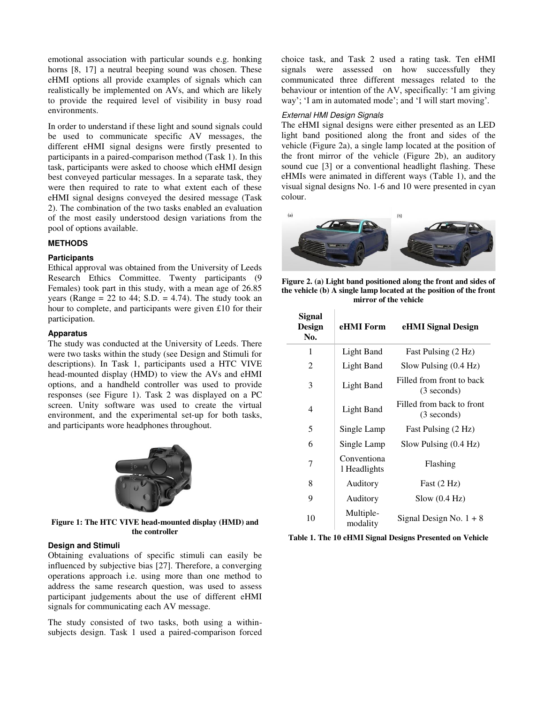emotional association with particular sounds e.g. honking horns [8, 17] a neutral beeping sound was chosen. These eHMI options all provide examples of signals which can realistically be implemented on AVs, and which are likely to provide the required level of visibility in busy road environments.

In order to understand if these light and sound signals could be used to communicate specific AV messages, the different eHMI signal designs were firstly presented to participants in a paired-comparison method (Task 1). In this task, participants were asked to choose which eHMI design best conveyed particular messages. In a separate task, they were then required to rate to what extent each of these eHMI signal designs conveyed the desired message (Task 2). The combination of the two tasks enabled an evaluation of the most easily understood design variations from the pool of options available.

#### **METHODS**

#### **Participants**

Ethical approval was obtained from the University of Leeds Research Ethics Committee. Twenty participants (9 Females) took part in this study, with a mean age of 26.85 years (Range =  $22$  to  $44$ ; S.D. =  $4.74$ ). The study took an hour to complete, and participants were given £10 for their participation.

## **Apparatus**

The study was conducted at the University of Leeds. There were two tasks within the study (see Design and Stimuli for descriptions). In Task 1, participants used a HTC VIVE head-mounted display (HMD) to view the AVs and eHMI options, and a handheld controller was used to provide responses (see [Figure 1\)](#page-3-0). Task 2 was displayed on a PC screen. Unity software was used to create the virtual environment, and the experimental set-up for both tasks, and participants wore headphones throughout.



<span id="page-3-0"></span>**Figure 1: The HTC VIVE head-mounted display (HMD) and the controller** 

#### **Design and Stimuli**

Obtaining evaluations of specific stimuli can easily be influenced by subjective bias [27]. Therefore, a converging operations approach i.e. using more than one method to address the same research question, was used to assess participant judgements about the use of different eHMI signals for communicating each AV message.

The study consisted of two tasks, both using a withinsubjects design. Task 1 used a paired-comparison forced choice task, and Task 2 used a rating task. Ten eHMI signals were assessed on how successfully they communicated three different messages related to the behaviour or intention of the AV, specifically: 'I am giving way'; 'I am in automated mode'; and 'I will start moving'.

#### *External HMI Design Signals*

The eHMI signal designs were either presented as an LED light band positioned along the front and sides of the vehicle [\(Figure 2a](#page-3-1)), a single lamp located at the position of the front mirror of the vehicle [\(Figure 2b](#page-3-1)), an auditory sound cue [3] or a conventional headlight flashing. These eHMIs were animated in different ways [\(Table 1\)](#page-3-2), and the visual signal designs No. 1-6 and 10 were presented in cyan colour.



**Figure 2. (a) Light band positioned along the front and sides of the vehicle (b) A single lamp located at the position of the front mirror of the vehicle** 

<span id="page-3-1"></span>

| Signal<br>Design<br>No. | eHMI Form                   | eHMI Signal Design                         |  |  |
|-------------------------|-----------------------------|--------------------------------------------|--|--|
| 1                       | Light Band                  | Fast Pulsing (2 Hz)                        |  |  |
| 2                       | Light Band                  | Slow Pulsing $(0.4 \text{ Hz})$            |  |  |
| 3                       | Light Band                  | Filled from front to back<br>$(3$ seconds) |  |  |
| 4                       | Light Band                  | Filled from back to front<br>$(3$ seconds) |  |  |
| 5                       | Single Lamp                 | Fast Pulsing (2 Hz)                        |  |  |
| 6                       | Single Lamp                 | Slow Pulsing $(0.4 \text{ Hz})$            |  |  |
| 7                       | Conventiona<br>1 Headlights | Flashing                                   |  |  |
| 8                       | Auditory                    | Fast $(2 Hz)$                              |  |  |
| 9                       | Auditory                    | Slow (0.4 Hz)                              |  |  |
| 10                      | Multiple-<br>modality       | Signal Design No. $1 + 8$                  |  |  |

<span id="page-3-2"></span>**Table 1. The 10 eHMI Signal Designs Presented on Vehicle**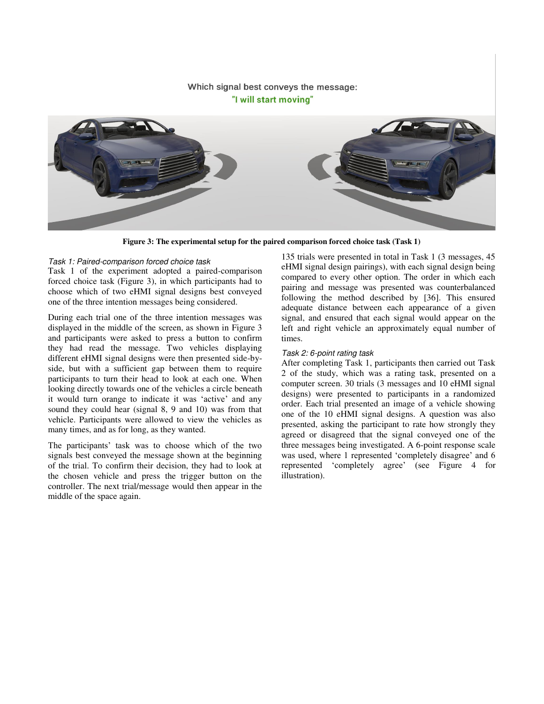# Which signal best conveys the message: "I will start moving"



**Figure 3: The experimental setup for the paired comparison forced choice task (Task 1)**

#### <span id="page-4-0"></span>*Task 1: Paired-comparison forced choice task*

Task 1 of the experiment adopted a paired-comparison forced choice task [\(Figure 3\)](#page-4-0), in which participants had to choose which of two eHMI signal designs best conveyed one of the three intention messages being considered.

During each trial one of the three intention messages was displayed in the middle of the screen, as shown in [Figure 3](#page-4-0)  and participants were asked to press a button to confirm they had read the message. Two vehicles displaying different eHMI signal designs were then presented side-byside, but with a sufficient gap between them to require participants to turn their head to look at each one. When looking directly towards one of the vehicles a circle beneath it would turn orange to indicate it was 'active' and any sound they could hear (signal 8, 9 and 10) was from that vehicle. Participants were allowed to view the vehicles as many times, and as for long, as they wanted.

The participants' task was to choose which of the two signals best conveyed the message shown at the beginning of the trial. To confirm their decision, they had to look at the chosen vehicle and press the trigger button on the controller. The next trial/message would then appear in the middle of the space again.

135 trials were presented in total in Task 1 (3 messages, 45 eHMI signal design pairings), with each signal design being compared to every other option. The order in which each pairing and message was presented was counterbalanced following the method described by [36]. This ensured adequate distance between each appearance of a given signal, and ensured that each signal would appear on the left and right vehicle an approximately equal number of times.

## *Task 2: 6-point rating task*

After completing Task 1, participants then carried out Task 2 of the study, which was a rating task, presented on a computer screen. 30 trials (3 messages and 10 eHMI signal designs) were presented to participants in a randomized order. Each trial presented an image of a vehicle showing one of the 10 eHMI signal designs. A question was also presented, asking the participant to rate how strongly they agreed or disagreed that the signal conveyed one of the three messages being investigated. A 6-point response scale was used, where 1 represented 'completely disagree' and 6 represented 'completely agree' (see [Figure 4](#page-5-0) for illustration).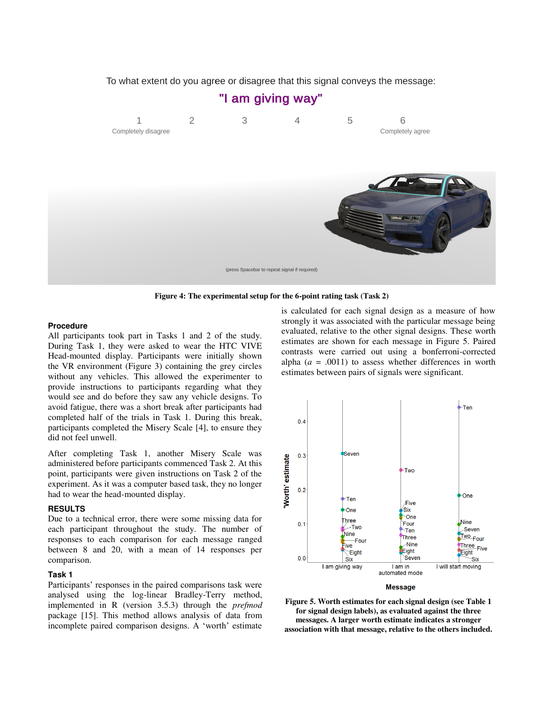

To what extent do you agree or disagree that this signal conveys the message:

**Figure 4: The experimental setup for the 6-point rating task (Task 2)** 

#### <span id="page-5-0"></span>**Procedure**

All participants took part in Tasks 1 and 2 of the study. During Task 1, they were asked to wear the HTC VIVE Head-mounted display. Participants were initially shown the VR environment (Figure 3) containing the grey circles without any vehicles. This allowed the experimenter to provide instructions to participants regarding what they would see and do before they saw any vehicle designs. To avoid fatigue, there was a short break after participants had completed half of the trials in Task 1. During this break, participants completed the Misery Scale [4], to ensure they did not feel unwell.

After completing Task 1, another Misery Scale was administered before participants commenced Task 2. At this point, participants were given instructions on Task 2 of the experiment. As it was a computer based task, they no longer had to wear the head-mounted display.

#### **RESULTS**

Due to a technical error, there were some missing data for each participant throughout the study. The number of responses to each comparison for each message ranged between 8 and 20, with a mean of 14 responses per comparison.

#### **Task 1**

Participants' responses in the paired comparisons task were analysed using the log-linear Bradley-Terry method, implemented in R (version 3.5.3) through the *prefmod* package [15]. This method allows analysis of data from incomplete paired comparison designs. A 'worth' estimate

is calculated for each signal design as a measure of how strongly it was associated with the particular message being evaluated, relative to the other signal designs. These worth estimates are shown for each message in [Figure 5.](#page-5-1) Paired contrasts were carried out using a bonferroni-corrected alpha  $(a = .0011)$  to assess whether differences in worth estimates between pairs of signals were significant.



#### **Message**

<span id="page-5-1"></span>**Figure 5. Worth estimates for each signal design (see Table 1 for signal design labels), as evaluated against the three messages. A larger worth estimate indicates a stronger association with that message, relative to the others included.**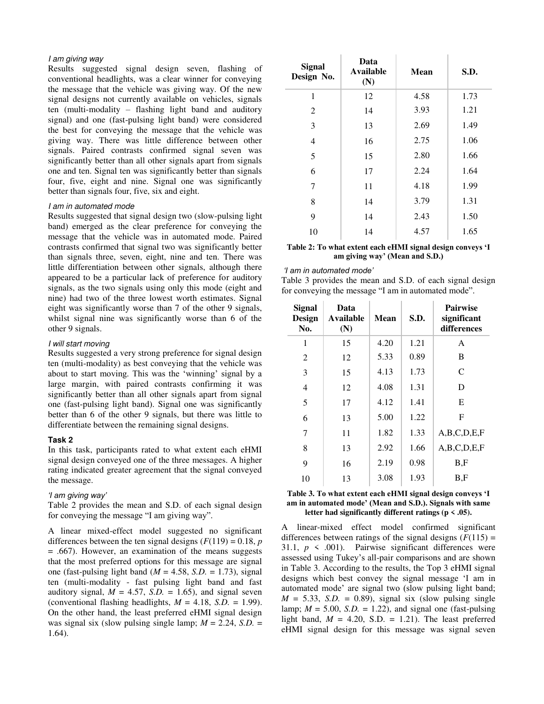#### *I am giving way*

Results suggested signal design seven, flashing of conventional headlights, was a clear winner for conveying the message that the vehicle was giving way. Of the new signal designs not currently available on vehicles, signals ten (multi-modality – flashing light band and auditory signal) and one (fast-pulsing light band) were considered the best for conveying the message that the vehicle was giving way. There was little difference between other signals. Paired contrasts confirmed signal seven was significantly better than all other signals apart from signals one and ten. Signal ten was significantly better than signals four, five, eight and nine. Signal one was significantly better than signals four, five, six and eight.

#### *I am in automated mode*

Results suggested that signal design two (slow-pulsing light band) emerged as the clear preference for conveying the message that the vehicle was in automated mode. Paired contrasts confirmed that signal two was significantly better than signals three, seven, eight, nine and ten. There was little differentiation between other signals, although there appeared to be a particular lack of preference for auditory signals, as the two signals using only this mode (eight and nine) had two of the three lowest worth estimates. Signal eight was significantly worse than 7 of the other 9 signals, whilst signal nine was significantly worse than 6 of the other 9 signals.

#### *I will start moving*

Results suggested a very strong preference for signal design ten (multi-modality) as best conveying that the vehicle was about to start moving. This was the 'winning' signal by a large margin, with paired contrasts confirming it was significantly better than all other signals apart from signal one (fast-pulsing light band). Signal one was significantly better than 6 of the other 9 signals, but there was little to differentiate between the remaining signal designs.

### **Task 2**

In this task, participants rated to what extent each eHMI signal design conveyed one of the three messages. A higher rating indicated greater agreement that the signal conveyed the message.

#### *'I am giving way'*

[Table 2](#page-6-0) provides the mean and S.D. of each signal design for conveying the message "I am giving way".

A linear mixed-effect model suggested no significant differences between the ten signal designs  $(F(119) = 0.18, p$ = .667). However, an examination of the means suggests that the most preferred options for this message are signal one (fast-pulsing light band  $(M = 4.58, S.D. = 1.73)$ , signal ten (multi-modality - fast pulsing light band and fast auditory signal,  $M = 4.57$ ,  $S.D. = 1.65$ ), and signal seven (conventional flashing headlights,  $M = 4.18$ ,  $S.D. = 1.99$ ). On the other hand, the least preferred eHMI signal design was signal six (slow pulsing single lamp;  $M = 2.24$ , *S.D.* = 1.64).

| <b>Signal</b><br>Design No. | Data<br><b>Available</b><br>(N) | Mean | S.D. |
|-----------------------------|---------------------------------|------|------|
| 1                           | 12                              | 4.58 | 1.73 |
| 2                           | 14                              | 3.93 | 1.21 |
| 3                           | 13                              | 2.69 | 1.49 |
| 4                           | 16                              | 2.75 | 1.06 |
| 5                           | 15                              | 2.80 | 1.66 |
| 6                           | 17                              | 2.24 | 1.64 |
| 7                           | 11                              | 4.18 | 1.99 |
| 8                           | 14                              | 3.79 | 1.31 |
| 9                           | 14                              | 2.43 | 1.50 |
| 10                          | 14                              | 4.57 | 1.65 |

<span id="page-6-0"></span>**Table 2: To what extent each eHMI signal design conveys 'I am giving way' (Mean and S.D.)**

#### *'I am in automated mode'*

|  |                                                     | Table 3 provides the mean and S.D. of each signal design |
|--|-----------------------------------------------------|----------------------------------------------------------|
|  | for conveying the message "I am in automated mode". |                                                          |

| Signal<br>Design<br>No. | Data<br>Available<br>(N) | Mean | S.D. | <b>Pairwise</b><br>significant<br>differences |
|-------------------------|--------------------------|------|------|-----------------------------------------------|
| 1                       | 15                       | 4.20 | 1.21 | A                                             |
| 2                       | 12                       | 5.33 | 0.89 | B                                             |
| 3                       | 15                       | 4.13 | 1.73 | C                                             |
| 4                       | 12                       | 4.08 | 1.31 | D                                             |
| 5                       | 17                       | 4.12 | 1.41 | E                                             |
| 6                       | 13                       | 5.00 | 1.22 | F                                             |
| 7                       | 11                       | 1.82 | 1.33 | A, B, C, D, E, F                              |
| 8                       | 13                       | 2.92 | 1.66 | A,B,C,D,E,F                                   |
| 9                       | 16                       | 2.19 | 0.98 | B,F                                           |
| 10                      | 13                       | 3.08 | 1.93 | B.F                                           |

#### <span id="page-6-1"></span>**Table 3. To what extent each eHMI signal design conveys 'I am in automated mode' (Mean and S.D.). Signals with same letter had significantly different ratings (p < .05).**

A linear-mixed effect model confirmed significant differences between ratings of the signal designs  $(F(115) =$ 31.1,  $p \leq .001$ ). Pairwise significant differences were assessed using Tukey's all-pair comparisons and are shown in Table 3. According to the results, the Top 3 eHMI signal designs which best convey the signal message 'I am in automated mode' are signal two (slow pulsing light band;  $M = 5.33$ , *S.D.* = 0.89), signal six (slow pulsing single lamp;  $M = 5.00$ ,  $S.D. = 1.22$ ), and signal one (fast-pulsing light band,  $M = 4.20$ , S.D. = 1.21). The least preferred eHMI signal design for this message was signal seven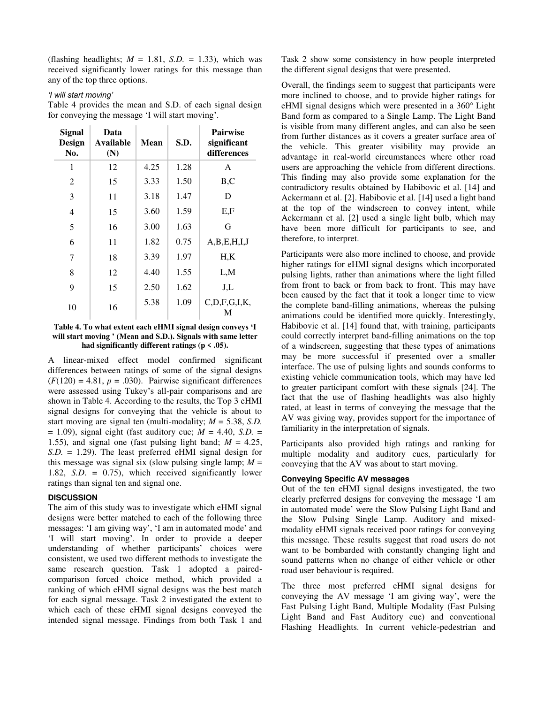(flashing headlights;  $M = 1.81$ , *S.D.* = 1.33), which was received significantly lower ratings for this message than any of the top three options.

# *'I will start moving'*

[Table 4](#page-7-0) provides the mean and S.D. of each signal design for conveying the message 'I will start moving'.

| <b>Signal</b><br>Design<br>No. | Data<br>Available<br>(N) | Mean | S.D. | <b>Pairwise</b><br>significant<br>differences |
|--------------------------------|--------------------------|------|------|-----------------------------------------------|
| 1                              | 12                       | 4.25 | 1.28 | A                                             |
| 2                              | 15                       | 3.33 | 1.50 | B, C                                          |
| 3                              | 11                       | 3.18 | 1.47 | D                                             |
| 4                              | 15                       | 3.60 | 1.59 | E,F                                           |
| 5                              | 16                       | 3.00 | 1.63 | G                                             |
| 6                              | 11                       | 1.82 | 0.75 | A,B,E,H,I,J                                   |
| 7                              | 18                       | 3.39 | 1.97 | H,K                                           |
| 8                              | 12                       | 4.40 | 1.55 | L,M                                           |
| 9                              | 15                       | 2.50 | 1.62 | $_{\rm J,L}$                                  |
| 10                             | 16                       | 5.38 | 1.09 | C, D, F, G, I, K,<br>М                        |

#### <span id="page-7-0"></span>**Table 4. To what extent each eHMI signal design conveys 'I will start moving ' (Mean and S.D.). Signals with same letter had significantly different ratings (p < .05).**

A linear-mixed effect model confirmed significant differences between ratings of some of the signal designs  $(F(120) = 4.81, p = .030)$ . Pairwise significant differences were assessed using Tukey's all-pair comparisons and are shown in Table 4. According to the results, the Top 3 eHMI signal designs for conveying that the vehicle is about to start moving are signal ten (multi-modality; *M* = 5.38, *S.D.*  $= 1.09$ ), signal eight (fast auditory cue;  $M = 4.40$ , *S.D.* = 1.55), and signal one (fast pulsing light band;  $M = 4.25$ , *S.D.* = 1.29). The least preferred eHMI signal design for this message was signal six (slow pulsing single lamp;  $M =$ 1.82, *S.D*. = 0.75), which received significantly lower ratings than signal ten and signal one.

# **DISCUSSION**

The aim of this study was to investigate which eHMI signal designs were better matched to each of the following three messages: 'I am giving way', 'I am in automated mode' and 'I will start moving'. In order to provide a deeper understanding of whether participants' choices were consistent, we used two different methods to investigate the same research question. Task 1 adopted a pairedcomparison forced choice method, which provided a ranking of which eHMI signal designs was the best match for each signal message. Task 2 investigated the extent to which each of these eHMI signal designs conveyed the intended signal message. Findings from both Task 1 and

Task 2 show some consistency in how people interpreted the different signal designs that were presented.

Overall, the findings seem to suggest that participants were more inclined to choose, and to provide higher ratings for eHMI signal designs which were presented in a 360° Light Band form as compared to a Single Lamp. The Light Band is visible from many different angles, and can also be seen from further distances as it covers a greater surface area of the vehicle. This greater visibility may provide an advantage in real-world circumstances where other road users are approaching the vehicle from different directions. This finding may also provide some explanation for the contradictory results obtained by Habibovic et al. [14] and Ackermann et al. [2]. Habibovic et al. [14] used a light band at the top of the windscreen to convey intent, while Ackermann et al. [2] used a single light bulb, which may have been more difficult for participants to see, and therefore, to interpret.

Participants were also more inclined to choose, and provide higher ratings for eHMI signal designs which incorporated pulsing lights, rather than animations where the light filled from front to back or from back to front. This may have been caused by the fact that it took a longer time to view the complete band-filling animations, whereas the pulsing animations could be identified more quickly. Interestingly, Habibovic et al. [14] found that, with training, participants could correctly interpret band-filling animations on the top of a windscreen, suggesting that these types of animations may be more successful if presented over a smaller interface. The use of pulsing lights and sounds conforms to existing vehicle communication tools, which may have led to greater participant comfort with these signals [24]. The fact that the use of flashing headlights was also highly rated, at least in terms of conveying the message that the AV was giving way, provides support for the importance of familiarity in the interpretation of signals.

Participants also provided high ratings and ranking for multiple modality and auditory cues, particularly for conveying that the AV was about to start moving.

# **Conveying Specific AV messages**

Out of the ten eHMI signal designs investigated, the two clearly preferred designs for conveying the message 'I am in automated mode' were the Slow Pulsing Light Band and the Slow Pulsing Single Lamp. Auditory and mixedmodality eHMI signals received poor ratings for conveying this message. These results suggest that road users do not want to be bombarded with constantly changing light and sound patterns when no change of either vehicle or other road user behaviour is required.

The three most preferred eHMI signal designs for conveying the AV message 'I am giving way', were the Fast Pulsing Light Band, Multiple Modality (Fast Pulsing Light Band and Fast Auditory cue) and conventional Flashing Headlights. In current vehicle-pedestrian and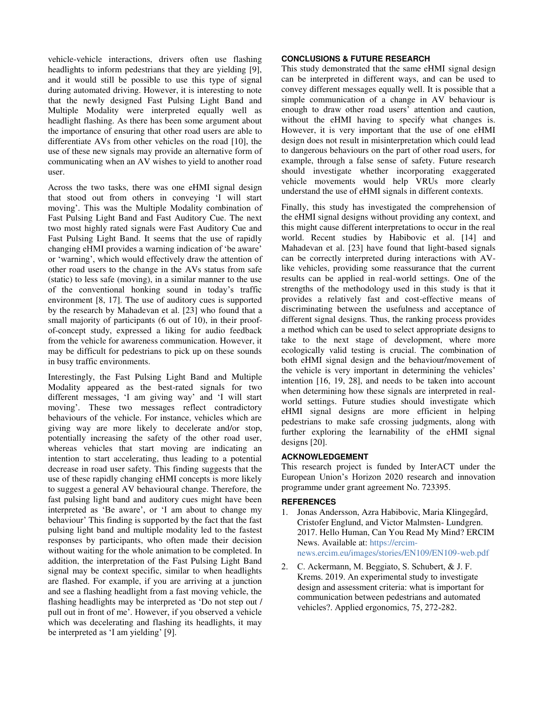vehicle-vehicle interactions, drivers often use flashing headlights to inform pedestrians that they are yielding [9], and it would still be possible to use this type of signal during automated driving. However, it is interesting to note that the newly designed Fast Pulsing Light Band and Multiple Modality were interpreted equally well as headlight flashing. As there has been some argument about the importance of ensuring that other road users are able to differentiate AVs from other vehicles on the road [10], the use of these new signals may provide an alternative form of communicating when an AV wishes to yield to another road user.

Across the two tasks, there was one eHMI signal design that stood out from others in conveying 'I will start moving'. This was the Multiple Modality combination of Fast Pulsing Light Band and Fast Auditory Cue. The next two most highly rated signals were Fast Auditory Cue and Fast Pulsing Light Band. It seems that the use of rapidly changing eHMI provides a warning indication of 'be aware' or 'warning', which would effectively draw the attention of other road users to the change in the AVs status from safe (static) to less safe (moving), in a similar manner to the use of the conventional honking sound in today's traffic environment [8, 17]. The use of auditory cues is supported by the research by Mahadevan et al. [23] who found that a small majority of participants (6 out of 10), in their proofof-concept study, expressed a liking for audio feedback from the vehicle for awareness communication. However, it may be difficult for pedestrians to pick up on these sounds in busy traffic environments.

Interestingly, the Fast Pulsing Light Band and Multiple Modality appeared as the best-rated signals for two different messages, 'I am giving way' and 'I will start moving'. These two messages reflect contradictory behaviours of the vehicle. For instance, vehicles which are giving way are more likely to decelerate and/or stop, potentially increasing the safety of the other road user, whereas vehicles that start moving are indicating an intention to start accelerating, thus leading to a potential decrease in road user safety. This finding suggests that the use of these rapidly changing eHMI concepts is more likely to suggest a general AV behavioural change. Therefore, the fast pulsing light band and auditory cues might have been interpreted as 'Be aware', or 'I am about to change my behaviour' This finding is supported by the fact that the fast pulsing light band and multiple modality led to the fastest responses by participants, who often made their decision without waiting for the whole animation to be completed. In addition, the interpretation of the Fast Pulsing Light Band signal may be context specific, similar to when headlights are flashed. For example, if you are arriving at a junction and see a flashing headlight from a fast moving vehicle, the flashing headlights may be interpreted as 'Do not step out / pull out in front of me'. However, if you observed a vehicle which was decelerating and flashing its headlights, it may be interpreted as 'I am yielding' [9].

# **CONCLUSIONS & FUTURE RESEARCH**

This study demonstrated that the same eHMI signal design can be interpreted in different ways, and can be used to convey different messages equally well. It is possible that a simple communication of a change in AV behaviour is enough to draw other road users' attention and caution, without the eHMI having to specify what changes is. However, it is very important that the use of one eHMI design does not result in misinterpretation which could lead to dangerous behaviours on the part of other road users, for example, through a false sense of safety. Future research should investigate whether incorporating exaggerated vehicle movements would help VRUs more clearly understand the use of eHMI signals in different contexts.

Finally, this study has investigated the comprehension of the eHMI signal designs without providing any context, and this might cause different interpretations to occur in the real world. Recent studies by Habibovic et al. [14] and Mahadevan et al. [23] have found that light-based signals can be correctly interpreted during interactions with AVlike vehicles, providing some reassurance that the current results can be applied in real-world settings. One of the strengths of the methodology used in this study is that it provides a relatively fast and cost-effective means of discriminating between the usefulness and acceptance of different signal designs. Thus, the ranking process provides a method which can be used to select appropriate designs to take to the next stage of development, where more ecologically valid testing is crucial. The combination of both eHMI signal design and the behaviour/movement of the vehicle is very important in determining the vehicles' intention [16, 19, 28], and needs to be taken into account when determining how these signals are interpreted in realworld settings. Future studies should investigate which eHMI signal designs are more efficient in helping pedestrians to make safe crossing judgments, along with further exploring the learnability of the eHMI signal designs [20].

# **ACKNOWLEDGEMENT**

This research project is funded by InterACT under the European Union's Horizon 2020 research and innovation programme under grant agreement No. 723395.

# **REFERENCES**

- 1. Jonas Andersson, Azra Habibovic, Maria Klingegård, Cristofer Englund, and Victor Malmsten- Lundgren. 2017. Hello Human, Can You Read My Mind? ERCIM News. Available at: [https://ercim](https://ercim-news.ercim.eu/images/stories/EN109/EN109-web.pdf)[news.ercim.eu/images/stories/EN109/EN109-web.pdf](https://ercim-news.ercim.eu/images/stories/EN109/EN109-web.pdf)
- 2. C. Ackermann, M. Beggiato, S. Schubert, & J. F. Krems. 2019. An experimental study to investigate design and assessment criteria: what is important for communication between pedestrians and automated vehicles?. Applied ergonomics, 75, 272-282.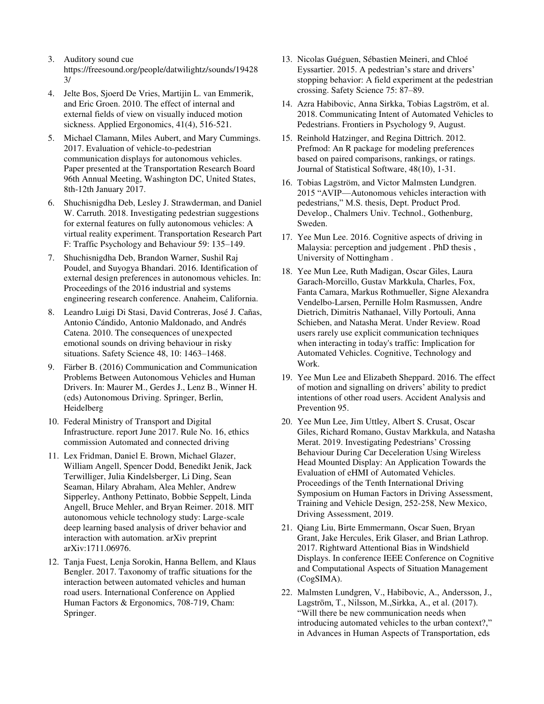- 3. Auditory sound cue https://freesound.org/people/datwilightz/sounds/19428 3/
- 4. Jelte Bos, Sjoerd De Vries, Martijin L. van Emmerik, and Eric Groen. 2010. The effect of internal and external fields of view on visually induced motion sickness. Applied Ergonomics, 41(4), 516-521.
- 5. Michael Clamann, Miles Aubert, and Mary Cummings. 2017. Evaluation of vehicle-to-pedestrian communication displays for autonomous vehicles. Paper presented at the Transportation Research Board 96th Annual Meeting, Washington DC, United States, 8th-12th January 2017.
- 6. Shuchisnigdha Deb, Lesley J. Strawderman, and Daniel W. Carruth. 2018. Investigating pedestrian suggestions for external features on fully autonomous vehicles: A virtual reality experiment. Transportation Research Part F: Traffic Psychology and Behaviour 59: 135–149.
- 7. Shuchisnigdha Deb, Brandon Warner, Sushil Raj Poudel, and Suyogya Bhandari. 2016. Identification of external design preferences in autonomous vehicles. In: Proceedings of the 2016 industrial and systems engineering research conference. Anaheim, California.
- 8. Leandro Luigi Di Stasi, David Contreras, José J. Cañas, Antonio Cándido, Antonio Maldonado, and Andrés Catena. 2010. The consequences of unexpected emotional sounds on driving behaviour in risky situations. Safety Science 48, 10: 1463–1468.
- 9. Färber B. (2016) Communication and Communication Problems Between Autonomous Vehicles and Human Drivers. In: Maurer M., Gerdes J., Lenz B., Winner H. (eds) Autonomous Driving. Springer, Berlin, Heidelberg
- 10. Federal Ministry of Transport and Digital Infrastructure. report June 2017. Rule No. 16, ethics commission Automated and connected driving
- 11. Lex Fridman, Daniel E. Brown, Michael Glazer, William Angell, Spencer Dodd, Benedikt Jenik, Jack Terwilliger, Julia Kindelsberger, Li Ding, Sean Seaman, Hilary Abraham, Alea Mehler, Andrew Sipperley, Anthony Pettinato, Bobbie Seppelt, Linda Angell, Bruce Mehler, and Bryan Reimer. 2018. MIT autonomous vehicle technology study: Large-scale deep learning based analysis of driver behavior and interaction with automation. arXiv preprint arXiv:1711.06976.
- 12. Tanja Fuest, Lenja Sorokin, Hanna Bellem, and Klaus Bengler. 2017. Taxonomy of traffic situations for the interaction between automated vehicles and human road users. International Conference on Applied Human Factors & Ergonomics, 708-719, Cham: Springer.
- 13. Nicolas Guéguen, Sébastien Meineri, and Chloé Eyssartier. 2015. A pedestrian's stare and drivers' stopping behavior: A field experiment at the pedestrian crossing. Safety Science 75: 87–89.
- 14. Azra Habibovic, Anna Sirkka, Tobias Lagström, et al. 2018. Communicating Intent of Automated Vehicles to Pedestrians. Frontiers in Psychology 9, August.
- 15. Reinhold Hatzinger, and Regina Dittrich. 2012. Prefmod: An R package for modeling preferences based on paired comparisons, rankings, or ratings. Journal of Statistical Software, 48(10), 1-31.
- 16. Tobias Lagström, and Victor Malmsten Lundgren. 2015 "AVIP—Autonomous vehicles interaction with pedestrians," M.S. thesis, Dept. Product Prod. Develop., Chalmers Univ. Technol., Gothenburg, Sweden.
- 17. Yee Mun Lee. 2016. Cognitive aspects of driving in Malaysia: perception and judgement . PhD thesis , University of Nottingham .
- 18. Yee Mun Lee, Ruth Madigan, Oscar Giles, Laura Garach-Morcillo, Gustav Markkula, Charles, Fox, Fanta Camara, Markus Rothmueller, Signe Alexandra Vendelbo-Larsen, Pernille Holm Rasmussen, Andre Dietrich, Dimitris Nathanael, Villy Portouli, Anna Schieben, and Natasha Merat. Under Review. Road users rarely use explicit communication techniques when interacting in today's traffic: Implication for Automated Vehicles. Cognitive, Technology and Work.
- 19. Yee Mun Lee and Elizabeth Sheppard. 2016. The effect of motion and signalling on drivers' ability to predict intentions of other road users. Accident Analysis and Prevention 95.
- 20. Yee Mun Lee, Jim Uttley, Albert S. Crusat, Oscar Giles, Richard Romano, Gustav Markkula, and Natasha Merat. 2019. Investigating Pedestrians' Crossing Behaviour During Car Deceleration Using Wireless Head Mounted Display: An Application Towards the Evaluation of eHMI of Automated Vehicles. Proceedings of the Tenth International Driving Symposium on Human Factors in Driving Assessment, Training and Vehicle Design, 252-258, New Mexico, Driving Assessment, 2019.
- 21. Qiang Liu, Birte Emmermann, Oscar Suen, Bryan Grant, Jake Hercules, Erik Glaser, and Brian Lathrop. 2017. Rightward Attentional Bias in Windshield Displays. In conference IEEE Conference on Cognitive and Computational Aspects of Situation Management (CogSIMA).
- 22. Malmsten Lundgren, V., Habibovic, A., Andersson, J., Lagström, T., Nilsson, M.,Sirkka, A., et al. (2017). "Will there be new communication needs when introducing automated vehicles to the urban context?," in Advances in Human Aspects of Transportation, eds